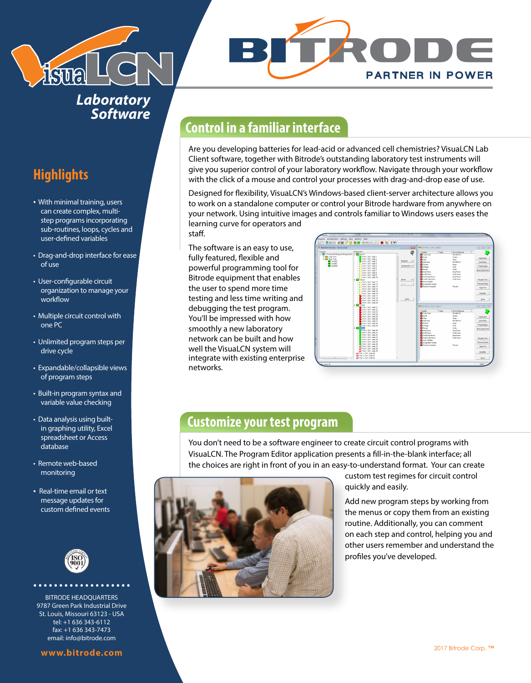

*Laboratory Software*

# **Highlights**

- With minimal training, users can create complex, multistep programs incorporating sub-routines, loops, cycles and user-defined variables
- Drag-and-drop interface for ease of use
- User-configurable circuit organization to manage your workflow
- Multiple circuit control with one PC
- Unlimited program steps per drive cycle
- Expandable/collapsible views of program steps
- Built-in program syntax and variable value checking
- Data analysis using builtin graphing utility, Excel spreadsheet or Access database
- Remote web-based monitoring
- Real-time email or text message updates for custom defined events



BITRODE HEADQUARTERS 9787 Green Park Industrial Drive St. Louis, Missouri 63123 - USA tel: +1 636 343-6112 fax: +1 636 343-7473 email: info@bitrode.com

# **Control in a familiar interface**

Are you developing batteries for lead-acid or advanced cell chemistries? VisuaLCN Lab Client software, together with Bitrode's outstanding laboratory test instruments will give you superior control of your laboratory workflow. Navigate through your workflow with the click of a mouse and control your processes with drag-and-drop ease of use.

Designed for flexibility, VisuaLCN's Windows-based client-server architecture allows you to work on a standalone computer or control your Bitrode hardware from anywhere on your network. Using intuitive images and controls familiar to Windows users eases the learning curve for operators and staff.

The software is an easy to use, fully featured, flexible and powerful programming tool for Bitrode equipment that enables the user to spend more time testing and less time writing and debugging the test program. You'll be impressed with how smoothly a new laboratory network can be built and how well the VisuaLCN system will integrate with existing enterprise networks.



## **Customize your test program**

You don't need to be a software engineer to create circuit control programs with VisuaLCN. The Program Editor application presents a fill-in-the-blank interface; all the choices are right in front of you in an easy-to-understand format. Your can create



custom test regimes for circuit control quickly and easily.

Add new program steps by working from the menus or copy them from an existing routine. Additionally, you can comment on each step and control, helping you and other users remember and understand the profiles you've developed.